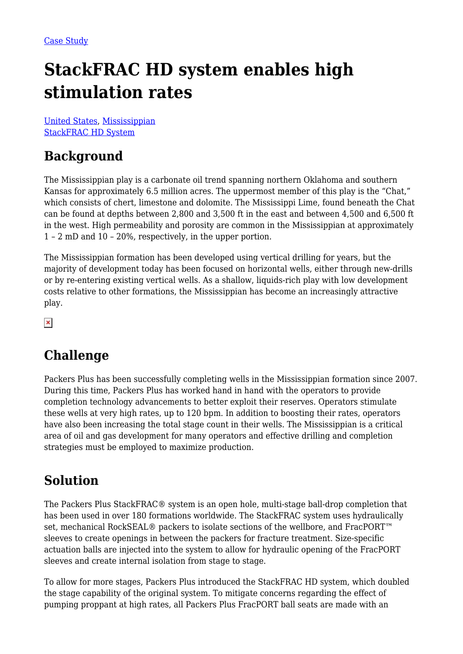# **StackFRAC HD system enables high stimulation rates**

[United States](https://packersplus.com/proven-performance/?region=united-states#listing), [Mississippian](https://packersplus.com/proven-performance/?formation=mississippian#listing) [StackFRAC HD System](https://packersplus.com/proven-performance/?system=stackfrac-hd-system#listing)

### **Background**

The Mississippian play is a carbonate oil trend spanning northern Oklahoma and southern Kansas for approximately 6.5 million acres. The uppermost member of this play is the "Chat," which consists of chert, limestone and dolomite. The Mississippi Lime, found beneath the Chat can be found at depths between 2,800 and 3,500 ft in the east and between 4,500 and 6,500 ft in the west. High permeability and porosity are common in the Mississippian at approximately 1 – 2 mD and 10 – 20%, respectively, in the upper portion.

The Mississippian formation has been developed using vertical drilling for years, but the majority of development today has been focused on horizontal wells, either through new-drills or by re-entering existing vertical wells. As a shallow, liquids-rich play with low development costs relative to other formations, the Mississippian has become an increasingly attractive play.

 $\pmb{\times}$ 

### **Challenge**

Packers Plus has been successfully completing wells in the Mississippian formation since 2007. During this time, Packers Plus has worked hand in hand with the operators to provide completion technology advancements to better exploit their reserves. Operators stimulate these wells at very high rates, up to 120 bpm. In addition to boosting their rates, operators have also been increasing the total stage count in their wells. The Mississippian is a critical area of oil and gas development for many operators and effective drilling and completion strategies must be employed to maximize production.

### **Solution**

The Packers Plus StackFRAC® system is an open hole, multi-stage ball-drop completion that has been used in over 180 formations worldwide. The StackFRAC system uses hydraulically set, mechanical RockSEAL® packers to isolate sections of the wellbore, and FracPORT™ sleeves to create openings in between the packers for fracture treatment. Size-specific actuation balls are injected into the system to allow for hydraulic opening of the FracPORT sleeves and create internal isolation from stage to stage.

To allow for more stages, Packers Plus introduced the StackFRAC HD system, which doubled the stage capability of the original system. To mitigate concerns regarding the effect of pumping proppant at high rates, all Packers Plus FracPORT ball seats are made with an